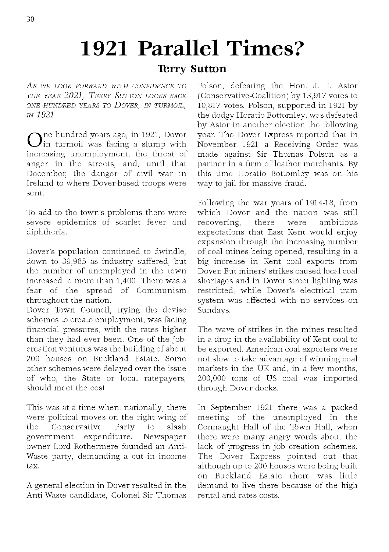## **1921 Parallel Times?**

## **Terry Sutton**

A s *WE LOOK FORWARD W ITH CONFIDENCE TO THE YEAR 2021, TE RRY SUTTON LOOKS BACK ONE HUNDRED YEARS TO DOVER, IN TURMOIL, IN 1921*

 $\bigcirc$  in turmoil was facing a slump with  $\sum$ ne hundred years ago, in 1921, Dover increasing unemployment, the threat of anger in the streets, and, until that December, the danger of civil war in Ireland to where Dover-based troops were sent.

To add to the town's problems there were severe epidemics of scarlet fever and diphtheria.

Dover's population continued to dwindle, down to 39,985 as industry suffered, but the number of unemployed in the town increased to more than 1,400. There was a fear of the spread of Communism throughout the nation.

Dover Town Council, trying the devise schemes to create employment, was facing financial pressures, with the rates higher than they had ever been. One of the jobcreation ventures was the building of about 200 houses on Buckland Estate. Some other schemes were delayed over the issue of who, the State or local ratepayers, should meet the cost.

This was at a time when, nationally, there were political moves on the right wing of<br>the Conservative Party to slash the Conservative Party to government expenditure. Newspaper owner Lord Rothermere founded an Anti-Waste party, demanding a cut in income tax.

A general election in Dover resulted in the Anti-Waste candidate, Colonel Sir Thomas Polson, defeating the Hon. J. J. Astor (Conservative-Coalition) by 13,917 votes to 10,817 votes. Polson, supported in 1921 by the dodgy Horatio Bottomley, was defeated by Astor in another election the following year. The Dover Express reported that in November 1921 a Receiving Order was made against Sir Thomas Polson as a partner in a firm of leather merchants. By this time Horatio Bottomley was on his way to jail for massive fraud.

Following the war years of 1914-18, from which Dover and the nation was still recovering, there were ambitious expectations that East Kent would enjoy expansion through the increasing number of coal mines being opened, resulting in a big increase in Kent coal exports from Dover. But miners' strikes caused local coal shortages and in Dover street lighting was restricted, while Dover's electrical tram system was affected with no services on Sundays.

The wave of strikes in the mines resulted in a drop in the availability of Kent coal to be exported. American coal exporters were not slow to take advantage of winning coal markets in the UK and, in a few months, 200,000 tons of US coal was imported through Dover docks.

In September 1921 there was a packed meeting of the unemployed in the Connaught Hall of the Town Hall, when there were many angry words about the lack of progress in job creation schemes. The Dover Express pointed out that although up to 200 houses were being built on Buckland Estate there was little demand to live there because of the high rental and rates costs.